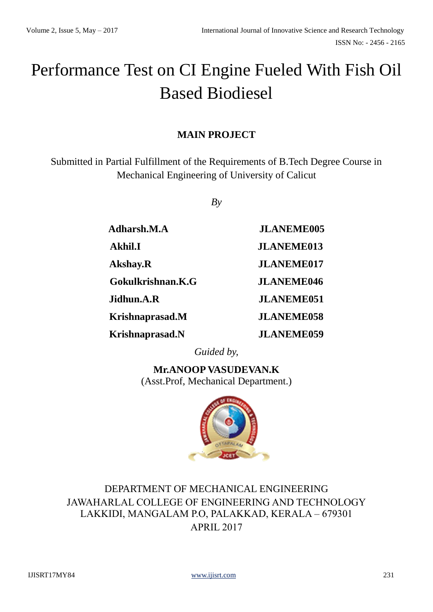# Performance Test on CI Engine Fueled With Fish Oil Based Biodiesel

# **MAIN PROJECT**

Submitted in Partial Fulfillment of the Requirements of B.Tech Degree Course in Mechanical Engineering of University of Calicut

*By*

| Adharsh.M.A       | <b>JLANEME005</b> |
|-------------------|-------------------|
| <b>Akhil.I</b>    | <b>JLANEME013</b> |
| <b>Akshay.R</b>   | <b>JLANEME017</b> |
| Gokulkrishnan.K.G | <b>JLANEME046</b> |
| Jidhun.A.R        | <b>JLANEME051</b> |
| Krishnaprasad.M   | <b>JLANEME058</b> |
| Krishnaprasad.N   | <b>JLANEME059</b> |

*Guided by,*

**Mr.ANOOP VASUDEVAN.K** (Asst.Prof, Mechanical Department.)



DEPARTMENT OF MECHANICAL ENGINEERING JAWAHARLAL COLLEGE OF ENGINEERING AND TECHNOLOGY LAKKIDI, MANGALAM P.O, PALAKKAD, KERALA – 679301 APRIL 2017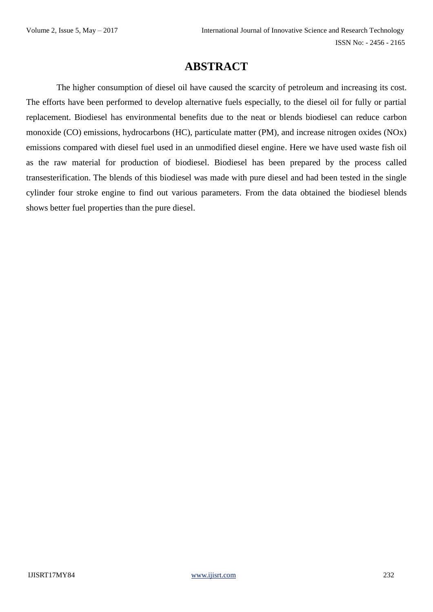# **ABSTRACT**

 The higher consumption of diesel oil have caused the scarcity of petroleum and increasing its cost. The efforts have been performed to develop alternative fuels especially, to the diesel oil for fully or partial replacement. Biodiesel has environmental benefits due to the neat or blends biodiesel can reduce carbon monoxide (CO) emissions, hydrocarbons (HC), particulate matter (PM), and increase nitrogen oxides (NOx) emissions compared with diesel fuel used in an unmodified diesel engine. Here we have used waste fish oil as the raw material for production of biodiesel. Biodiesel has been prepared by the process called transesterification. The blends of this biodiesel was made with pure diesel and had been tested in the single cylinder four stroke engine to find out various parameters. From the data obtained the biodiesel blends shows better fuel properties than the pure diesel.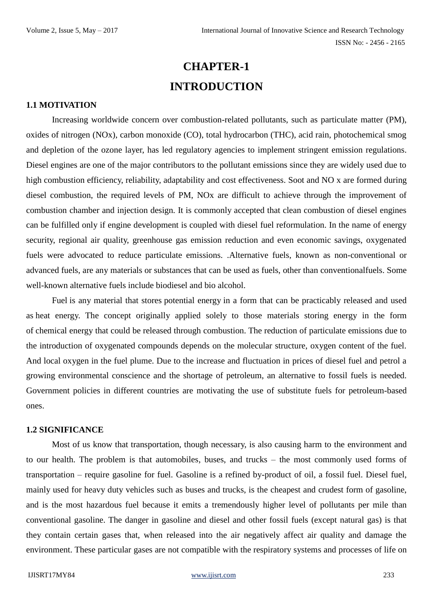# **CHAPTER-1 INTRODUCTION**

#### **1.1 MOTIVATION**

Increasing worldwide concern over combustion-related pollutants, such as particulate matter (PM), oxides of nitrogen (NOx), carbon monoxide (CO), total hydrocarbon (THC), acid rain, photochemical smog and depletion of the ozone layer, has led regulatory agencies to implement stringent emission regulations. Diesel engines are one of the major contributors to the pollutant emissions since they are widely used due to high combustion efficiency, reliability, adaptability and cost effectiveness. Soot and NO x are formed during diesel combustion, the required levels of PM, NOx are difficult to achieve through the improvement of combustion chamber and injection design. It is commonly accepted that clean combustion of diesel engines can be fulfilled only if engine development is coupled with diesel fuel reformulation. In the name of energy security, regional air quality, greenhouse gas emission reduction and even economic savings, oxygenated fuels were advocated to reduce particulate emissions. .Alternative fuels, known as non-conventional or advanced fuels, are any materials or substances that can be used as fuels, other than conventionalfuels. Some well-known alternative fuels include biodiesel and bio alcohol.

Fuel is any material that stores potential energy in a form that can be practicably released and used as heat energy. The concept originally applied solely to those materials storing energy in the form of chemical energy that could be released through combustion. The reduction of particulate emissions due to the introduction of oxygenated compounds depends on the molecular structure, oxygen content of the fuel. And local oxygen in the fuel plume. Due to the increase and fluctuation in prices of diesel fuel and petrol a growing environmental conscience and the shortage of petroleum, an alternative to fossil fuels is needed. Government policies in different countries are motivating the use of substitute fuels for petroleum-based ones.

#### **1.2 SIGNIFICANCE**

Most of us know that transportation, though necessary, is also causing harm to the environment and to our health. The problem is that automobiles, buses, and trucks – the most commonly used forms of transportation – require gasoline for fuel. Gasoline is a refined by-product of oil, a fossil fuel. Diesel fuel, mainly used for heavy duty vehicles such as buses and trucks, is the cheapest and crudest form of gasoline, and is the most hazardous fuel because it emits a tremendously higher level of pollutants per mile than conventional gasoline. The danger in gasoline and diesel and other fossil fuels (except natural gas) is that they contain certain gases that, when released into the air negatively affect air quality and damage the environment. These particular gases are not compatible with the respiratory systems and processes of life on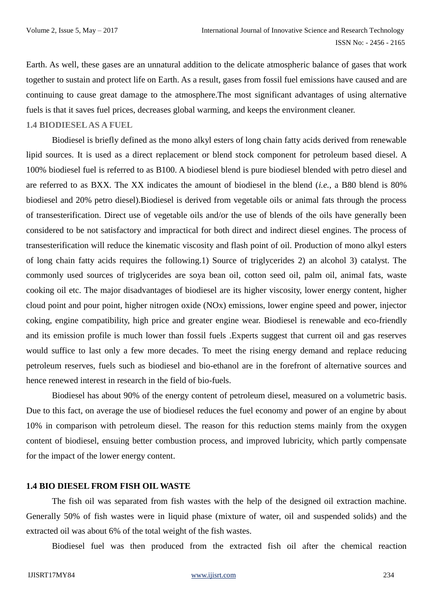Earth. As well, these gases are an unnatural addition to the delicate atmospheric balance of gases that work together to sustain and protect life on Earth. As a result, gases from fossil fuel emissions have caused and are continuing to cause great damage to the atmosphere.The most significant advantages of using alternative fuels is that it saves fuel prices, decreases global warming, and keeps the environment cleaner.

#### **1.4 BIODIESEL AS A FUEL**

Biodiesel is briefly defined as the mono alkyl esters of long chain fatty acids derived from renewable lipid sources. It is used as a direct replacement or blend stock component for petroleum based diesel. A 100% biodiesel fuel is referred to as B100. A biodiesel blend is pure biodiesel blended with petro diesel and are referred to as BXX. The XX indicates the amount of biodiesel in the blend (*i.e.*, a B80 blend is 80% biodiesel and 20% petro diesel).Biodiesel is derived from vegetable oils or animal fats through the process of transesterification. Direct use of vegetable oils and/or the use of blends of the oils have generally been considered to be not satisfactory and impractical for both direct and indirect diesel engines. The process of transesterification will reduce the kinematic viscosity and flash point of oil. Production of mono alkyl esters of long chain fatty acids requires the following.1) Source of triglycerides 2) an alcohol 3) catalyst. The commonly used sources of triglycerides are soya bean oil, cotton seed oil, palm oil, animal fats, waste cooking oil etc. The major disadvantages of biodiesel are its higher viscosity, lower energy content, higher cloud point and pour point, higher nitrogen oxide (NOx) emissions, lower engine speed and power, injector coking, engine compatibility, high price and greater engine wear. Biodiesel is renewable and eco-friendly and its emission profile is much lower than fossil fuels .Experts suggest that current oil and gas reserves would suffice to last only a few more decades. To meet the rising energy demand and replace reducing petroleum reserves, fuels such as biodiesel and bio-ethanol are in the forefront of alternative sources and hence renewed interest in research in the field of bio-fuels.

Biodiesel has about 90% of the energy content of petroleum diesel, measured on a volumetric basis. Due to this fact, on average the use of biodiesel reduces the fuel economy and power of an engine by about 10% in comparison with petroleum diesel. The reason for this reduction stems mainly from the oxygen content of biodiesel, ensuing better combustion process, and improved lubricity, which partly compensate for the impact of the lower energy content.

#### **1.4 BIO DIESEL FROM FISH OIL WASTE**

The fish oil was separated from fish wastes with the help of the designed oil extraction machine. Generally 50% of fish wastes were in liquid phase (mixture of water, oil and suspended solids) and the extracted oil was about 6% of the total weight of the fish wastes.

Biodiesel fuel was then produced from the extracted fish oil after the chemical reaction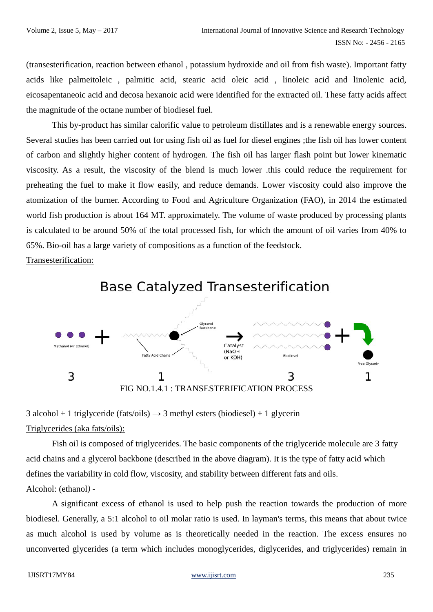(transesterification, reaction between ethanol , potassium hydroxide and oil from fish waste). Important fatty acids like palmeitoleic , palmitic acid, stearic acid oleic acid , linoleic acid and linolenic acid, eicosapentaneoic acid and decosa hexanoic acid were identified for the extracted oil. These fatty acids affect the magnitude of the octane number of biodiesel fuel.

This by-product has similar calorific value to petroleum distillates and is a renewable energy sources. Several studies has been carried out for using fish oil as fuel for diesel engines ;the fish oil has lower content of carbon and slightly higher content of hydrogen. The fish oil has larger flash point but lower kinematic viscosity. As a result, the viscosity of the blend is much lower .this could reduce the requirement for preheating the fuel to make it flow easily, and reduce demands. Lower viscosity could also improve the atomization of the burner. According to Food and Agriculture Organization (FAO), in 2014 the estimated world fish production is about 164 MT. approximately. The volume of waste produced by processing plants is calculated to be around 50% of the total processed fish, for which the amount of oil varies from 40% to 65%. Bio-oil has a large variety of compositions as a function of the feedstock.

Transesterification:



**Base Catalyzed Transesterification** 

3 alcohol + 1 triglyceride (fats/oils)  $\rightarrow$  3 methyl esters (biodiesel) + 1 glycerin Triglycerides (aka fats/oils):

Fish oil is composed of triglycerides. The basic components of the triglyceride molecule are 3 fatty acid chains and a glycerol backbone (described in the above diagram). It is the type of fatty acid which defines the variability in cold flow, viscosity, and stability between different fats and oils. Alcohol: (ethanol*) -*

A significant excess of ethanol is used to help push the reaction towards the production of more biodiesel. Generally, a 5:1 alcohol to oil molar ratio is used. In layman's terms, this means that about twice as much alcohol is used by volume as is theoretically needed in the reaction. The excess ensures no unconverted glycerides (a term which includes monoglycerides, diglycerides, and triglycerides) remain in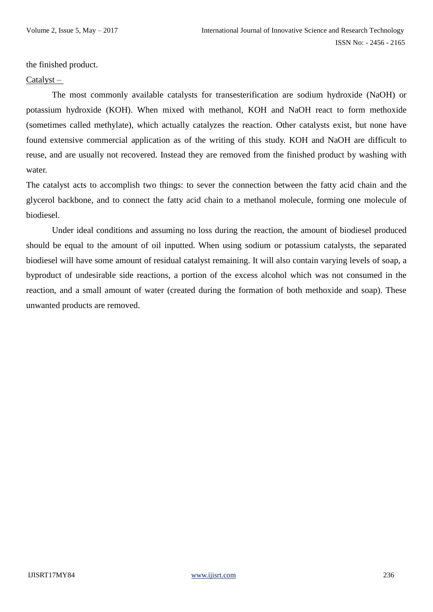the finished product.

#### Catalyst –

The most commonly available catalysts for transesterification are sodium hydroxide (NaOH) or potassium hydroxide (KOH). When mixed with methanol, KOH and NaOH react to form methoxide (sometimes called methylate), which actually catalyzes the reaction. Other catalysts exist, but none have found extensive commercial application as of the writing of this study. KOH and NaOH are difficult to reuse, and are usually not recovered. Instead they are removed from the finished product by washing with water.

The catalyst acts to accomplish two things: to sever the connection between the fatty acid chain and the glycerol backbone, and to connect the fatty acid chain to a methanol molecule, forming one molecule of biodiesel.

Under ideal conditions and assuming no loss during the reaction, the amount of biodiesel produced should be equal to the amount of oil inputted. When using sodium or potassium catalysts, the separated biodiesel will have some amount of residual catalyst remaining. It will also contain varying levels of soap, a byproduct of undesirable side reactions, a portion of the excess alcohol which was not consumed in the reaction, and a small amount of water (created during the formation of both methoxide and soap). These unwanted products are removed.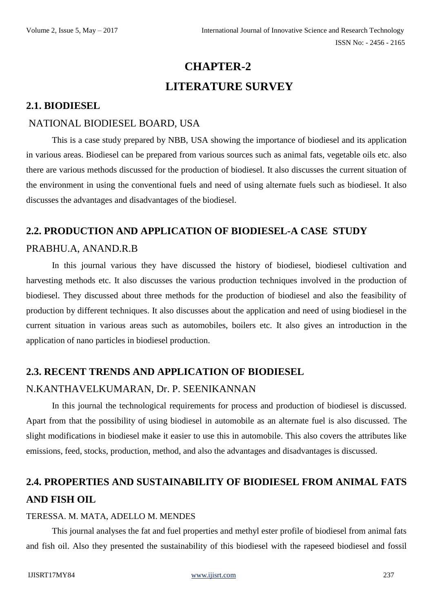# **CHAPTER-2 LITERATURE SURVEY**

### **2.1. BIODIESEL**

### NATIONAL BIODIESEL BOARD, USA

This is a case study prepared by NBB, USA showing the importance of biodiesel and its application in various areas. Biodiesel can be prepared from various sources such as animal fats, vegetable oils etc. also there are various methods discussed for the production of biodiesel. It also discusses the current situation of the environment in using the conventional fuels and need of using alternate fuels such as biodiesel. It also discusses the advantages and disadvantages of the biodiesel.

# **2.2. PRODUCTION AND APPLICATION OF BIODIESEL-A CASE STUDY**

#### PRABHU.A, ANAND.R.B

In this journal various they have discussed the history of biodiesel, biodiesel cultivation and harvesting methods etc. It also discusses the various production techniques involved in the production of biodiesel. They discussed about three methods for the production of biodiesel and also the feasibility of production by different techniques. It also discusses about the application and need of using biodiesel in the current situation in various areas such as automobiles, boilers etc. It also gives an introduction in the application of nano particles in biodiesel production.

### **2.3. RECENT TRENDS AND APPLICATION OF BIODIESEL**

### N.KANTHAVELKUMARAN, Dr. P. SEENIKANNAN

In this journal the technological requirements for process and production of biodiesel is discussed. Apart from that the possibility of using biodiesel in automobile as an alternate fuel is also discussed. The slight modifications in biodiesel make it easier to use this in automobile. This also covers the attributes like emissions, feed, stocks, production, method, and also the advantages and disadvantages is discussed.

# **2.4. PROPERTIES AND SUSTAINABILITY OF BIODIESEL FROM ANIMAL FATS AND FISH OIL**

#### TERESSA. M. MATA, ADELLO M. MENDES

This journal analyses the fat and fuel properties and methyl ester profile of biodiesel from animal fats and fish oil. Also they presented the sustainability of this biodiesel with the rapeseed biodiesel and fossil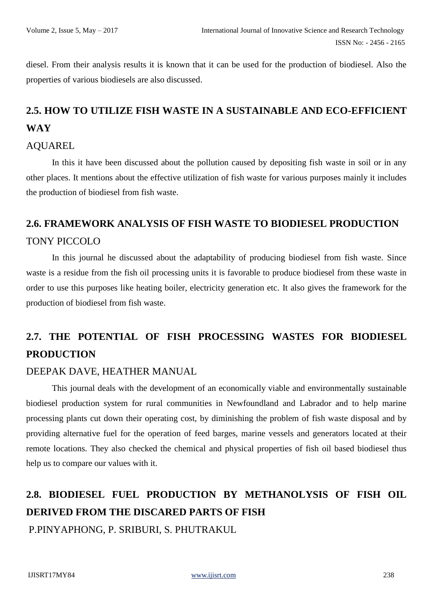diesel. From their analysis results it is known that it can be used for the production of biodiesel. Also the properties of various biodiesels are also discussed.

# **2.5. HOW TO UTILIZE FISH WASTE IN A SUSTAINABLE AND ECO-EFFICIENT WAY**

#### AQUAREL

In this it have been discussed about the pollution caused by depositing fish waste in soil or in any other places. It mentions about the effective utilization of fish waste for various purposes mainly it includes the production of biodiesel from fish waste.

# **2.6. FRAMEWORK ANALYSIS OF FISH WASTE TO BIODIESEL PRODUCTION** TONY PICCOLO

In this journal he discussed about the adaptability of producing biodiesel from fish waste. Since waste is a residue from the fish oil processing units it is favorable to produce biodiesel from these waste in order to use this purposes like heating boiler, electricity generation etc. It also gives the framework for the production of biodiesel from fish waste.

# **2.7. THE POTENTIAL OF FISH PROCESSING WASTES FOR BIODIESEL PRODUCTION**

### DEEPAK DAVE, HEATHER MANUAL

This journal deals with the development of an economically viable and environmentally sustainable biodiesel production system for rural communities in Newfoundland and Labrador and to help marine processing plants cut down their operating cost, by diminishing the problem of fish waste disposal and by providing alternative fuel for the operation of feed barges, marine vessels and generators located at their remote locations. They also checked the chemical and physical properties of fish oil based biodiesel thus help us to compare our values with it.

# **2.8. BIODIESEL FUEL PRODUCTION BY METHANOLYSIS OF FISH OIL DERIVED FROM THE DISCARED PARTS OF FISH** P.PINYAPHONG, P. SRIBURI, S. PHUTRAKUL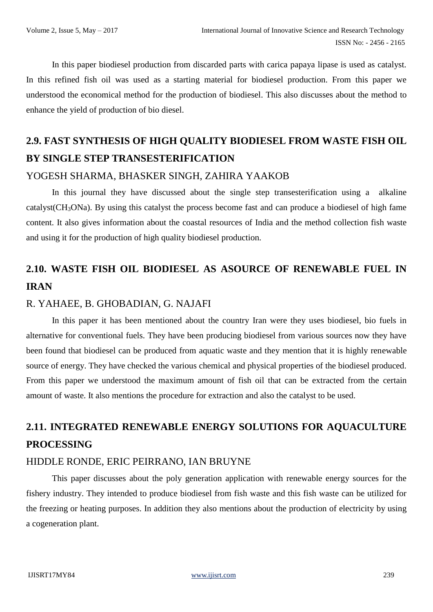In this paper biodiesel production from discarded parts with carica papaya lipase is used as catalyst. In this refined fish oil was used as a starting material for biodiesel production. From this paper we understood the economical method for the production of biodiesel. This also discusses about the method to enhance the yield of production of bio diesel.

# **2.9. FAST SYNTHESIS OF HIGH QUALITY BIODIESEL FROM WASTE FISH OIL BY SINGLE STEP TRANSESTERIFICATION**

### YOGESH SHARMA, BHASKER SINGH, ZAHIRA YAAKOB

In this journal they have discussed about the single step transesterification using a alkaline catalyst(CH3ONa). By using this catalyst the process become fast and can produce a biodiesel of high fame content. It also gives information about the coastal resources of India and the method collection fish waste and using it for the production of high quality biodiesel production.

# **2.10. WASTE FISH OIL BIODIESEL AS ASOURCE OF RENEWABLE FUEL IN IRAN**

### R. YAHAEE, B. GHOBADIAN, G. NAJAFI

In this paper it has been mentioned about the country Iran were they uses biodiesel, bio fuels in alternative for conventional fuels. They have been producing biodiesel from various sources now they have been found that biodiesel can be produced from aquatic waste and they mention that it is highly renewable source of energy. They have checked the various chemical and physical properties of the biodiesel produced. From this paper we understood the maximum amount of fish oil that can be extracted from the certain amount of waste. It also mentions the procedure for extraction and also the catalyst to be used.

# **2.11. INTEGRATED RENEWABLE ENERGY SOLUTIONS FOR AQUACULTURE PROCESSING**

### HIDDLE RONDE, ERIC PEIRRANO, IAN BRUYNE

This paper discusses about the poly generation application with renewable energy sources for the fishery industry. They intended to produce biodiesel from fish waste and this fish waste can be utilized for the freezing or heating purposes. In addition they also mentions about the production of electricity by using a cogeneration plant.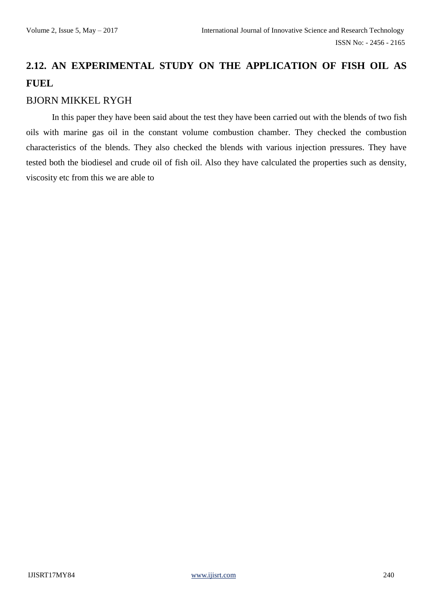# **2.12. AN EXPERIMENTAL STUDY ON THE APPLICATION OF FISH OIL AS FUEL**

### BJORN MIKKEL RYGH

In this paper they have been said about the test they have been carried out with the blends of two fish oils with marine gas oil in the constant volume combustion chamber. They checked the combustion characteristics of the blends. They also checked the blends with various injection pressures. They have tested both the biodiesel and crude oil of fish oil. Also they have calculated the properties such as density, viscosity etc from this we are able to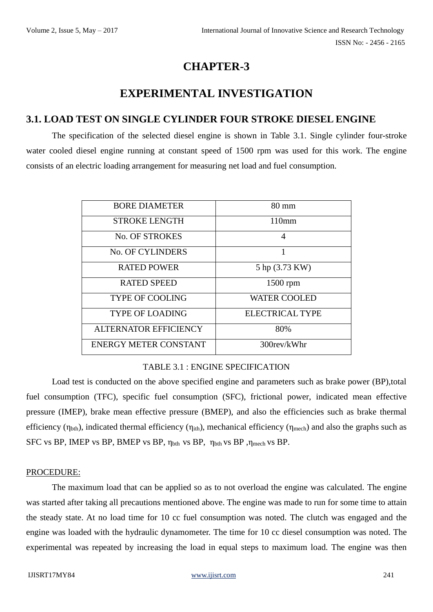# **CHAPTER-3**

# **EXPERIMENTAL INVESTIGATION**

### **3.1. LOAD TEST ON SINGLE CYLINDER FOUR STROKE DIESEL ENGINE**

The specification of the selected diesel engine is shown in Table 3.1. Single cylinder four-stroke water cooled diesel engine running at constant speed of 1500 rpm was used for this work. The engine consists of an electric loading arrangement for measuring net load and fuel consumption.

| <b>BORE DIAMETER</b>         | $80 \text{ mm}$        |
|------------------------------|------------------------|
| <b>STROKE LENGTH</b>         | 110mm                  |
| <b>No. OF STROKES</b>        | 4                      |
| No. OF CYLINDERS             | 1                      |
| <b>RATED POWER</b>           | 5 hp (3.73 KW)         |
| <b>RATED SPEED</b>           | 1500 rpm               |
| <b>TYPE OF COOLING</b>       | <b>WATER COOLED</b>    |
| <b>TYPE OF LOADING</b>       | <b>ELECTRICAL TYPE</b> |
| <b>ALTERNATOR EFFICIENCY</b> | 80%                    |
| <b>ENERGY METER CONSTANT</b> | 300rev/kWhr            |

#### TABLE 3.1 : ENGINE SPECIFICATION

Load test is conducted on the above specified engine and parameters such as brake power (BP), total fuel consumption (TFC), specific fuel consumption (SFC), frictional power, indicated mean effective pressure (IMEP), brake mean effective pressure (BMEP), and also the efficiencies such as brake thermal efficiency ( $\eta_{\text{bth}}$ ), indicated thermal efficiency ( $\eta_{\text{itth}}$ ), mechanical efficiency ( $\eta_{\text{mech}}$ ) and also the graphs such as SFC vs BP, IMEP vs BP, BMEP vs BP, ηbth vs BP, ηbth vs BP ,ηmech vs BP.

#### PROCEDURE:

The maximum load that can be applied so as to not overload the engine was calculated. The engine was started after taking all precautions mentioned above. The engine was made to run for some time to attain the steady state. At no load time for 10 cc fuel consumption was noted. The clutch was engaged and the engine was loaded with the hydraulic dynamometer. The time for 10 cc diesel consumption was noted. The experimental was repeated by increasing the load in equal steps to maximum load. The engine was then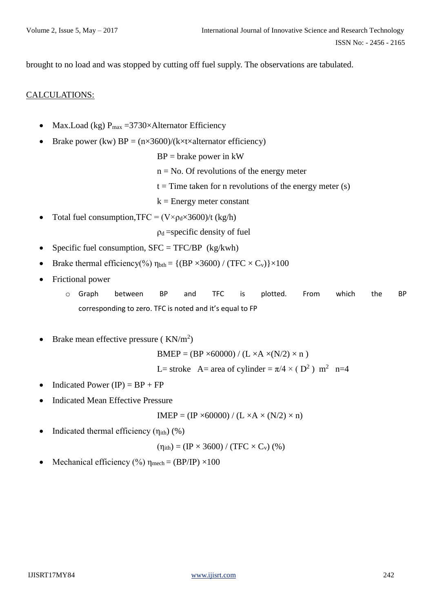brought to no load and was stopped by cutting off fuel supply. The observations are tabulated.

#### CALCULATIONS:

- Max.Load (kg)  $P_{max} = 3730 \times$ Alternator Efficiency
- Brake power (kw)  $BP = (n \times 3600)/(k \times t \times 1)$  alternator efficiency)
	- $BP =$  brake power in kW
	- $n = No$ . Of revolutions of the energy meter
	- $t =$  Time taken for n revolutions of the energy meter (s)
	- $k =$  Energy meter constant
- Total fuel consumption,  $TFC = (V \times \rho_d \times 3600)/t$  (kg/h)

 $\rho_d$  =specific density of fuel

- Specific fuel consumption,  $SFC = TFC/BP$  (kg/kwh)
- Brake thermal efficiency(%)  $\eta_{\text{bth}} = \{(BP \times 3600) / (TFC \times C_v)\} \times 100$
- Frictional power
	- o Graph between BP and TFC is plotted. From which the BP corresponding to zero. TFC is noted and it's equal to FP
- Brake mean effective pressure ( $KN/m^2$ )

 $BMEP = (BP \times 60000) / (L \times A \times (N/2) \times n)$ 

L= stroke A= area of cylinder =  $\pi/4 \times (D^2)$  m<sup>2</sup> n=4

- Indicated Power  $(IP) = BP + FP$
- Indicated Mean Effective Pressure

$$
IMEP = (IP \times 60000) / (L \times A \times (N/2) \times n)
$$

• Indicated thermal efficiency  $(\eta_{ith})$  (%)

 $(\eta_{ith}) = (IP \times 3600) / (TFC \times C_v)$  (%)

Mechanical efficiency (%)  $\eta_{\text{mech}} = (BP/IP) \times 100$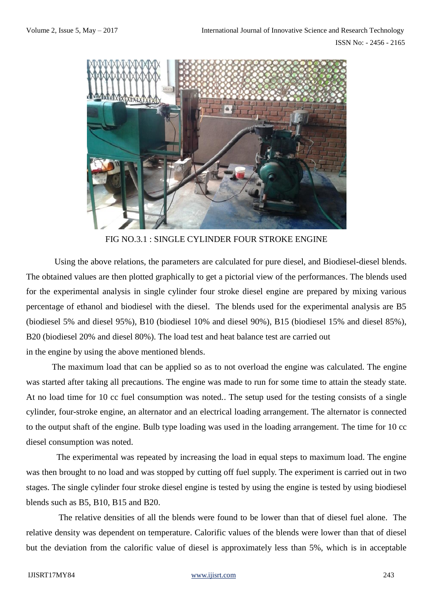ISSN No: - 2456 - 2165



FIG NO.3.1 : SINGLE CYLINDER FOUR STROKE ENGINE

 Using the above relations, the parameters are calculated for pure diesel, and Biodiesel-diesel blends. The obtained values are then plotted graphically to get a pictorial view of the performances. The blends used for the experimental analysis in single cylinder four stroke diesel engine are prepared by mixing various percentage of ethanol and biodiesel with the diesel. The blends used for the experimental analysis are B5 (biodiesel 5% and diesel 95%), B10 (biodiesel 10% and diesel 90%), B15 (biodiesel 15% and diesel 85%), B20 (biodiesel 20% and diesel 80%). The load test and heat balance test are carried out in the engine by using the above mentioned blends.

The maximum load that can be applied so as to not overload the engine was calculated. The engine was started after taking all precautions. The engine was made to run for some time to attain the steady state. At no load time for 10 cc fuel consumption was noted.. The setup used for the testing consists of a single cylinder, four-stroke engine, an alternator and an electrical loading arrangement. The alternator is connected to the output shaft of the engine. Bulb type loading was used in the loading arrangement. The time for 10 cc diesel consumption was noted.

 The experimental was repeated by increasing the load in equal steps to maximum load. The engine was then brought to no load and was stopped by cutting off fuel supply. The experiment is carried out in two stages. The single cylinder four stroke diesel engine is tested by using the engine is tested by using biodiesel blends such as B5, B10, B15 and B20.

 The relative densities of all the blends were found to be lower than that of diesel fuel alone. The relative density was dependent on temperature. Calorific values of the blends were lower than that of diesel but the deviation from the calorific value of diesel is approximately less than 5%, which is in acceptable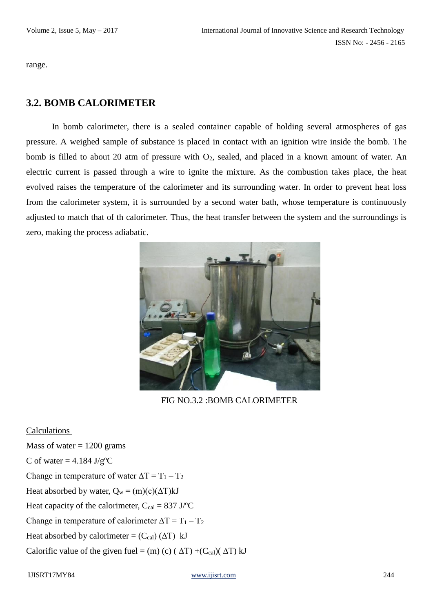range.

### **3.2. BOMB CALORIMETER**

In bomb calorimeter, there is a sealed container capable of holding several atmospheres of gas pressure. A weighed sample of substance is placed in contact with an ignition wire inside the bomb. The bomb is filled to about 20 atm of pressure with O<sub>2</sub>, sealed, and placed in a known amount of water. An electric current is passed through a wire to ignite the mixture. As the combustion takes place, the heat evolved raises the temperature of the calorimeter and its surrounding water. In order to prevent heat loss from the calorimeter system, it is surrounded by a second water bath, whose temperature is continuously adjusted to match that of th calorimeter. Thus, the heat transfer between the system and the surroundings is zero, making the process adiabatic.



FIG NO.3.2 :BOMB CALORIMETER

#### Calculations

Mass of water  $= 1200$  grams C of water  $= 4.184$  J/g<sup>o</sup>C Change in temperature of water  $\Delta T = T_1 - T_2$ Heat absorbed by water,  $Q_w = (m)(c)(\Delta T)kJ$ Heat capacity of the calorimeter,  $C_{cal} = 837 \text{ J} / ^{\circ}\text{C}$ Change in temperature of calorimeter  $\Delta T = T_1 - T_2$ Heat absorbed by calorimeter =  $(C_{cal}) (\Delta T)$  kJ Calorific value of the given fuel = (m) (c) ( $\Delta T$ ) +(Ccal)( $\Delta T$ ) kJ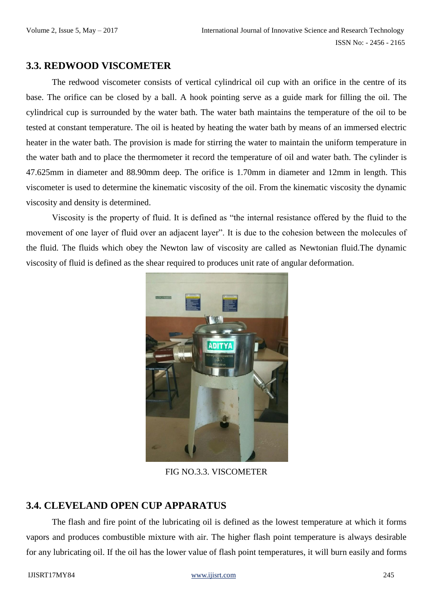### **3.3. REDWOOD VISCOMETER**

The redwood viscometer consists of vertical cylindrical oil cup with an orifice in the centre of its base. The orifice can be closed by a ball. A hook pointing serve as a guide mark for filling the oil. The cylindrical cup is surrounded by the water bath. The water bath maintains the temperature of the oil to be tested at constant temperature. The oil is heated by heating the water bath by means of an immersed electric heater in the water bath. The provision is made for stirring the water to maintain the uniform temperature in the water bath and to place the thermometer it record the temperature of oil and water bath. The cylinder is 47.625mm in diameter and 88.90mm deep. The orifice is 1.70mm in diameter and 12mm in length. This viscometer is used to determine the kinematic viscosity of the oil. From the kinematic viscosity the dynamic viscosity and density is determined.

Viscosity is the property of fluid. It is defined as "the internal resistance offered by the fluid to the movement of one layer of fluid over an adjacent layer". It is due to the cohesion between the molecules of the fluid. The fluids which obey the Newton law of viscosity are called as Newtonian fluid.The dynamic viscosity of fluid is defined as the shear required to produces unit rate of angular deformation.



FIG NO.3.3. VISCOMETER

### **3.4. CLEVELAND OPEN CUP APPARATUS**

The flash and fire point of the lubricating oil is defined as the lowest temperature at which it forms vapors and produces combustible mixture with air. The higher flash point temperature is always desirable for any lubricating oil. If the oil has the lower value of flash point temperatures, it will burn easily and forms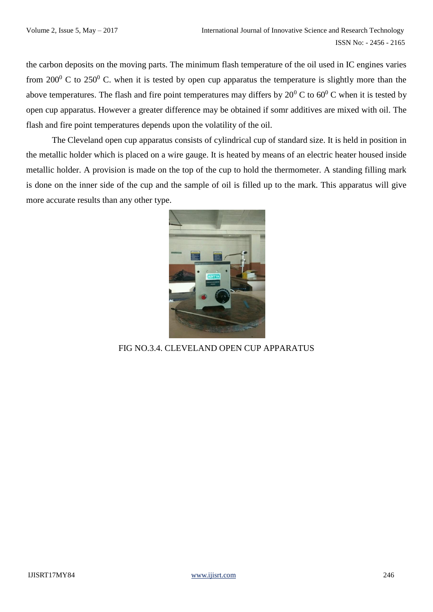the carbon deposits on the moving parts. The minimum flash temperature of the oil used in IC engines varies from  $200^{\circ}$  C to  $250^{\circ}$  C. when it is tested by open cup apparatus the temperature is slightly more than the above temperatures. The flash and fire point temperatures may differs by  $20^0$  C to  $60^0$  C when it is tested by open cup apparatus. However a greater difference may be obtained if somr additives are mixed with oil. The flash and fire point temperatures depends upon the volatility of the oil.

The Cleveland open cup apparatus consists of cylindrical cup of standard size. It is held in position in the metallic holder which is placed on a wire gauge. It is heated by means of an electric heater housed inside metallic holder. A provision is made on the top of the cup to hold the thermometer. A standing filling mark is done on the inner side of the cup and the sample of oil is filled up to the mark. This apparatus will give more accurate results than any other type.



FIG NO.3.4. CLEVELAND OPEN CUP APPARATUS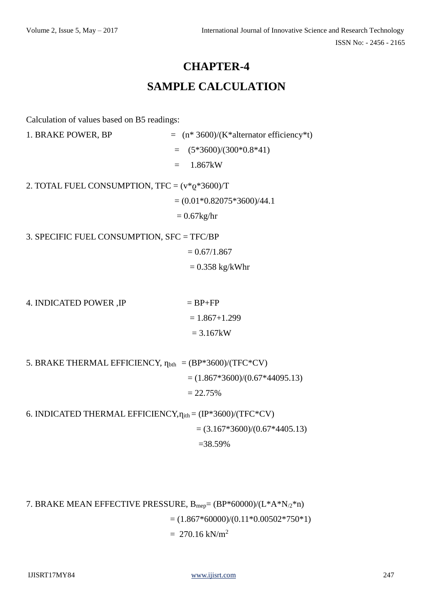# **CHAPTER-4 SAMPLE CALCULATION**

Calculation of values based on B5 readings:

1. BRAKE POWER, BP  $=$   $(n * 3600)/(K * 100)$  $=$   $(5*3600)/(300*0.8*41)$  $= 1.867kW$ 2. TOTAL FUEL CONSUMPTION, TFC =  $(v *_{Q} * 3600)$ /T  $= (0.01*0.82075*3600)/44.1$  $= 0.67$ kg/hr 3. SPECIFIC FUEL CONSUMPTION, SFC = TFC/BP  $= 0.67/1.867$  $= 0.358$  kg/kWhr

4. INDICATED POWER , IP  $= BP+FP$  $= 1.867 + 1.299$  $= 3.167$  kW

5. BRAKE THERMAL EFFICIENCY,  $\eta_{\text{bth}} = (BP*3600)/(TFC*CV)$  $= (1.867*3600)/(0.67*44095.13)$  $= 22.75%$ 

6. INDICATED THERMAL EFFICIENCY,  $\eta_{ith} = (IP*3600)/(TFC*CV)$  $= (3.167*3600)/(0.67*4405.13)$ =38.59%

7. BRAKE MEAN EFFECTIVE PRESSURE,  $B_{\text{mep}} = (BP*60000)/(L*A*N_{/2}*n)$  $= (1.867*60000)/(0.11*0.00502*750*1)$  $= 270.16$  kN/m<sup>2</sup>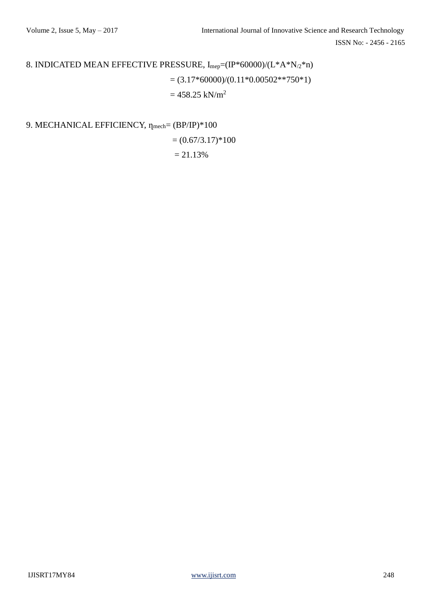ISSN No: - 2456 - 2165

# 8. INDICATED MEAN EFFECTIVE PRESSURE,  $I_{\text{mep}} = (IP^*60000)/(L^*A^*N_2^*n)$  $= (3.17*60000)/(0.11*0.00502**750*1)$  $= 458.25$  kN/m<sup>2</sup>

9. MECHANICAL EFFICIENCY,  $η_{mech} = (BP/IP)*100$ 

$$
= (0.67/3.17)^*100
$$

$$
= 21.13\%
$$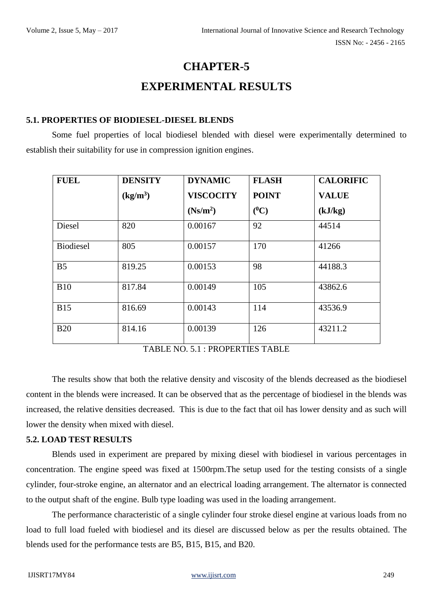# **CHAPTER-5**

# **EXPERIMENTAL RESULTS**

#### **5.1. PROPERTIES OF BIODIESEL-DIESEL BLENDS**

Some fuel properties of local biodiesel blended with diesel were experimentally determined to establish their suitability for use in compression ignition engines.

| <b>FUEL</b>      | <b>DENSITY</b>       | <b>DYNAMIC</b>       | <b>FLASH</b> | <b>CALORIFIC</b> |
|------------------|----------------------|----------------------|--------------|------------------|
|                  | (kg/m <sup>3</sup> ) | <b>VISCOCITY</b>     | <b>POINT</b> | <b>VALUE</b>     |
|                  |                      | (Ns/m <sup>2</sup> ) | $(^0C)$      | (kJ/kg)          |
| Diesel           | 820                  | 0.00167              | 92           | 44514            |
| <b>Biodiesel</b> | 805                  | 0.00157              | 170          | 41266            |
| B <sub>5</sub>   | 819.25               | 0.00153              | 98           | 44188.3          |
| <b>B10</b>       | 817.84               | 0.00149              | 105          | 43862.6          |
| <b>B15</b>       | 816.69               | 0.00143              | 114          | 43536.9          |
| <b>B20</b>       | 814.16               | 0.00139              | 126          | 43211.2          |

TABLE NO. 5.1 : PROPERTIES TABLE

The results show that both the relative density and viscosity of the blends decreased as the biodiesel content in the blends were increased. It can be observed that as the percentage of biodiesel in the blends was increased, the relative densities decreased. This is due to the fact that oil has lower density and as such will lower the density when mixed with diesel.

#### **5.2. LOAD TEST RESULTS**

Blends used in experiment are prepared by mixing diesel with biodiesel in various percentages in concentration. The engine speed was fixed at 1500rpm.The setup used for the testing consists of a single cylinder, four-stroke engine, an alternator and an electrical loading arrangement. The alternator is connected to the output shaft of the engine. Bulb type loading was used in the loading arrangement.

The performance characteristic of a single cylinder four stroke diesel engine at various loads from no load to full load fueled with biodiesel and its diesel are discussed below as per the results obtained. The blends used for the performance tests are B5, B15, B15, and B20.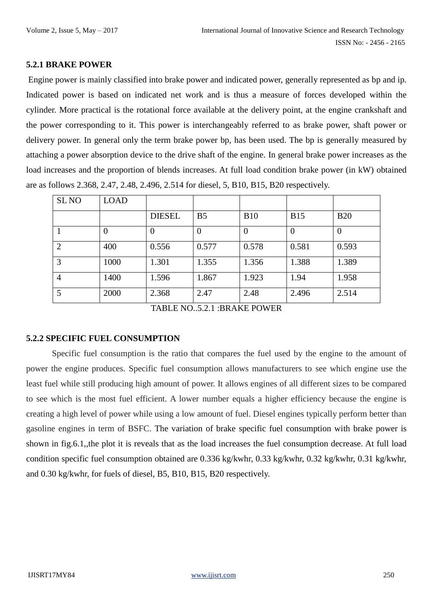#### **5.2.1 BRAKE POWER**

Engine power is mainly classified into brake power and indicated power, generally represented as bp and ip. Indicated power is based on indicated net work and is thus a measure of forces developed within the cylinder. More practical is the rotational force available at the delivery point, at the engine crankshaft and the power corresponding to it. This power is interchangeably referred to as brake power, shaft power or delivery power. In general only the term brake power bp, has been used. The bp is generally measured by attaching a power absorption device to the drive shaft of the engine. In general brake power increases as the load increases and the proportion of blends increases. At full load condition brake power (in kW) obtained are as follows 2.368, 2.47, 2.48, 2.496, 2.514 for diesel, 5, B10, B15, B20 respectively.

| <b>SLNO</b>    | <b>LOAD</b> |               |                |                  |            |                |
|----------------|-------------|---------------|----------------|------------------|------------|----------------|
|                |             | <b>DIESEL</b> | B <sub>5</sub> | <b>B10</b>       | <b>B15</b> | <b>B20</b>     |
|                | 0           | $\theta$      | $\theta$       | $\boldsymbol{0}$ |            | $\overline{0}$ |
| $\overline{2}$ | 400         | 0.556         | 0.577          | 0.578            | 0.581      | 0.593          |
| 3              | 1000        | 1.301         | 1.355          | 1.356            | 1.388      | 1.389          |
| $\overline{4}$ | 1400        | 1.596         | 1.867          | 1.923            | 1.94       | 1.958          |
| 5              | 2000        | 2.368         | 2.47           | 2.48             | 2.496      | 2.514          |

TABLE NO..5.2.1 :BRAKE POWER

### **5.2.2 SPECIFIC FUEL CONSUMPTION**

Specific fuel consumption is the ratio that compares the fuel used by the engine to the amount of power the engine produces. Specific fuel consumption allows manufacturers to see which engine use the least fuel while still producing high amount of power. It allows engines of all different sizes to be compared to see which is the most fuel efficient. A lower number equals a higher efficiency because the engine is creating a high level of power while using a low amount of fuel. Diesel engines typically perform better than gasoline engines in term of BSFC. The variation of brake specific fuel consumption with brake power is shown in fig.6.1,,the plot it is reveals that as the load increases the fuel consumption decrease. At full load condition specific fuel consumption obtained are 0.336 kg/kwhr, 0.33 kg/kwhr, 0.32 kg/kwhr, 0.31 kg/kwhr, and 0.30 kg/kwhr, for fuels of diesel, B5, B10, B15, B20 respectively.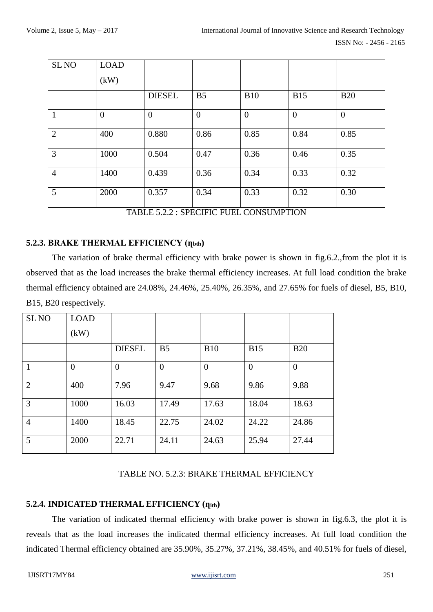| <b>SLNO</b>    | <b>LOAD</b>    |                |                |                |                |                |
|----------------|----------------|----------------|----------------|----------------|----------------|----------------|
|                | (kW)           |                |                |                |                |                |
|                |                | <b>DIESEL</b>  | B <sub>5</sub> | <b>B10</b>     | <b>B15</b>     | <b>B20</b>     |
| $\mathbf{1}$   | $\overline{0}$ | $\overline{0}$ | $\overline{0}$ | $\overline{0}$ | $\overline{0}$ | $\overline{0}$ |
| 2              | 400            | 0.880          | 0.86           | 0.85           | 0.84           | 0.85           |
| 3              | 1000           | 0.504          | 0.47           | 0.36           | 0.46           | 0.35           |
| $\overline{4}$ | 1400           | 0.439          | 0.36           | 0.34           | 0.33           | 0.32           |
| 5              | 2000           | 0.357          | 0.34           | 0.33           | 0.32           | 0.30           |

TABLE 5.2.2 : SPECIFIC FUEL CONSUMPTION

#### **5.2.3. BRAKE THERMAL EFFICIENCY (ղbth)**

The variation of brake thermal efficiency with brake power is shown in fig.6.2.,from the plot it is observed that as the load increases the brake thermal efficiency increases. At full load condition the brake thermal efficiency obtained are 24.08%, 24.46%, 25.40%, 26.35%, and 27.65% for fuels of diesel, B5, B10, B15, B20 respectively.

| SL <sub>NO</sub> | <b>LOAD</b>    |                |                |                  |                |                |
|------------------|----------------|----------------|----------------|------------------|----------------|----------------|
|                  | (kW)           |                |                |                  |                |                |
|                  |                | <b>DIESEL</b>  | B <sub>5</sub> | <b>B10</b>       | <b>B15</b>     | <b>B20</b>     |
|                  | $\overline{0}$ | $\overline{0}$ | $\overline{0}$ | $\boldsymbol{0}$ | $\overline{0}$ | $\overline{0}$ |
| $\overline{2}$   | 400            | 7.96           | 9.47           | 9.68             | 9.86           | 9.88           |
| 3                | 1000           | 16.03          | 17.49          | 17.63            | 18.04          | 18.63          |
| $\overline{4}$   | 1400           | 18.45          | 22.75          | 24.02            | 24.22          | 24.86          |
| 5                | 2000           | 22.71          | 24.11          | 24.63            | 25.94          | 27.44          |

#### TABLE NO. 5.2.3: BRAKE THERMAL EFFICIENCY

### **5.2.4. INDICATED THERMAL EFFICIENCY (ղith)**

The variation of indicated thermal efficiency with brake power is shown in fig.6.3, the plot it is reveals that as the load increases the indicated thermal efficiency increases. At full load condition the indicated Thermal efficiency obtained are 35.90%, 35.27%, 37.21%, 38.45%, and 40.51% for fuels of diesel,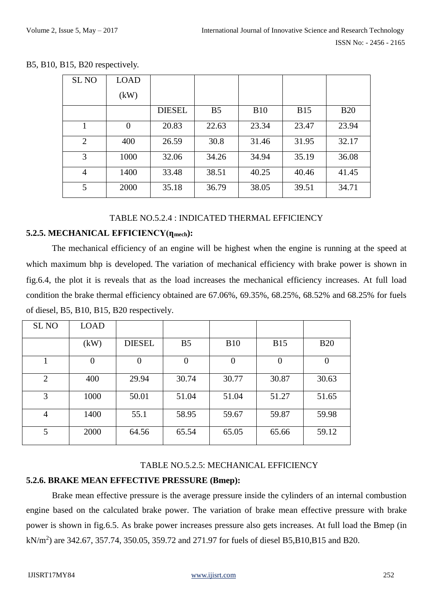| SL <sub>NO</sub> | <b>LOAD</b> |               |                |             |            |            |
|------------------|-------------|---------------|----------------|-------------|------------|------------|
|                  | (kW)        |               |                |             |            |            |
|                  |             | <b>DIESEL</b> | B <sub>5</sub> | <b>B</b> 10 | <b>B15</b> | <b>B20</b> |
|                  | $\theta$    | 20.83         | 22.63          | 23.34       | 23.47      | 23.94      |
| $\overline{2}$   | 400         | 26.59         | 30.8           | 31.46       | 31.95      | 32.17      |
| 3                | 1000        | 32.06         | 34.26          | 34.94       | 35.19      | 36.08      |
| 4                | 1400        | 33.48         | 38.51          | 40.25       | 40.46      | 41.45      |
| $5^{\circ}$      | 2000        | 35.18         | 36.79          | 38.05       | 39.51      | 34.71      |

#### B5, B10, B15, B20 respectively.

#### TABLE NO.5.2.4 : INDICATED THERMAL EFFICIENCY

#### **5.2.5. MECHANICAL EFFICIENCY(ղmech):**

The mechanical efficiency of an engine will be highest when the engine is running at the speed at which maximum bhp is developed. The variation of mechanical efficiency with brake power is shown in fig.6.4, the plot it is reveals that as the load increases the mechanical efficiency increases. At full load condition the brake thermal efficiency obtained are 67.06%, 69.35%, 68.25%, 68.52% and 68.25% for fuels of diesel, B5, B10, B15, B20 respectively.

| <b>SL NO</b>   | <b>LOAD</b>    |                |                |                  |            |                |
|----------------|----------------|----------------|----------------|------------------|------------|----------------|
|                | (kW)           | <b>DIESEL</b>  | B <sub>5</sub> | <b>B10</b>       | <b>B15</b> | <b>B20</b>     |
|                | $\overline{0}$ | $\overline{0}$ | $\overline{0}$ | $\boldsymbol{0}$ | $\theta$   | $\overline{0}$ |
| 2              | 400            | 29.94          | 30.74          | 30.77            | 30.87      | 30.63          |
| 3              | 1000           | 50.01          | 51.04          | 51.04            | 51.27      | 51.65          |
| $\overline{4}$ | 1400           | 55.1           | 58.95          | 59.67            | 59.87      | 59.98          |
| 5              | 2000           | 64.56          | 65.54          | 65.05            | 65.66      | 59.12          |

#### TABLE NO.5.2.5: MECHANICAL EFFICIENCY

#### **5.2.6. BRAKE MEAN EFFECTIVE PRESSURE (Bmep):**

Brake mean effective pressure is the average pressure inside the cylinders of an internal combustion engine based on the calculated brake power. The variation of brake mean effective pressure with brake power is shown in fig.6.5. As brake power increases pressure also gets increases. At full load the Bmep (in  $kN/m<sup>2</sup>$ ) are 342.67, 357.74, 350.05, 359.72 and 271.97 for fuels of diesel B5,B10,B15 and B20.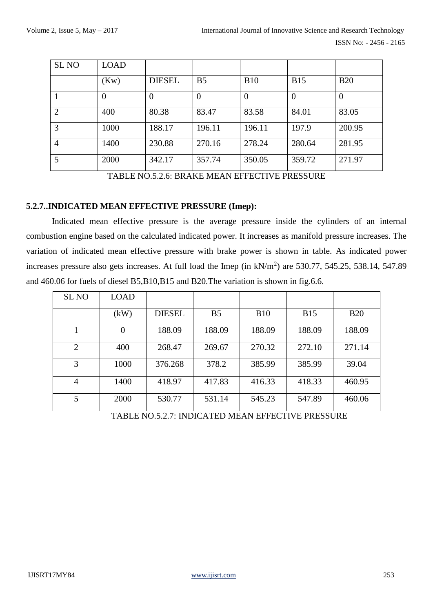| <b>SLNO</b>    | <b>LOAD</b> |               |                |                |            |                |
|----------------|-------------|---------------|----------------|----------------|------------|----------------|
|                | (Kw)        | <b>DIESEL</b> | B <sub>5</sub> | <b>B10</b>     | <b>B15</b> | <b>B20</b>     |
|                | $\theta$    | $\theta$      |                | $\overline{0}$ | $\theta$   | $\overline{0}$ |
| 2              | 400         | 80.38         | 83.47          | 83.58          | 84.01      | 83.05          |
| 3              | 1000        | 188.17        | 196.11         | 196.11         | 197.9      | 200.95         |
| $\overline{4}$ | 1400        | 230.88        | 270.16         | 278.24         | 280.64     | 281.95         |
|                | 2000        | 342.17        | 357.74         | 350.05         | 359.72     | 271.97         |

TABLE NO.5.2.6: BRAKE MEAN EFFECTIVE PRESSURE

#### **5.2.7..INDICATED MEAN EFFECTIVE PRESSURE (Imep):**

Indicated mean effective pressure is the average pressure inside the cylinders of an internal combustion engine based on the calculated indicated power. It increases as manifold pressure increases. The variation of indicated mean effective pressure with brake power is shown in table. As indicated power increases pressure also gets increases. At full load the Imep (in kN/m<sup>2</sup>) are 530.77, 545.25, 538.14, 547.89 and 460.06 for fuels of diesel B5,B10,B15 and B20.The variation is shown in fig.6.6.

| <b>SL NO</b>   | <b>LOAD</b> |               |                |            |            |            |
|----------------|-------------|---------------|----------------|------------|------------|------------|
|                | (kW)        | <b>DIESEL</b> | B <sub>5</sub> | <b>B10</b> | <b>B15</b> | <b>B20</b> |
|                | $\theta$    | 188.09        | 188.09         | 188.09     | 188.09     | 188.09     |
| 2              | 400         | 268.47        | 269.67         | 270.32     | 272.10     | 271.14     |
| 3              | 1000        | 376.268       | 378.2          | 385.99     | 385.99     | 39.04      |
| $\overline{4}$ | 1400        | 418.97        | 417.83         | 416.33     | 418.33     | 460.95     |
| 5              | 2000        | 530.77        | 531.14         | 545.23     | 547.89     | 460.06     |

TABLE NO.5.2.7: INDICATED MEAN EFFECTIVE PRESSURE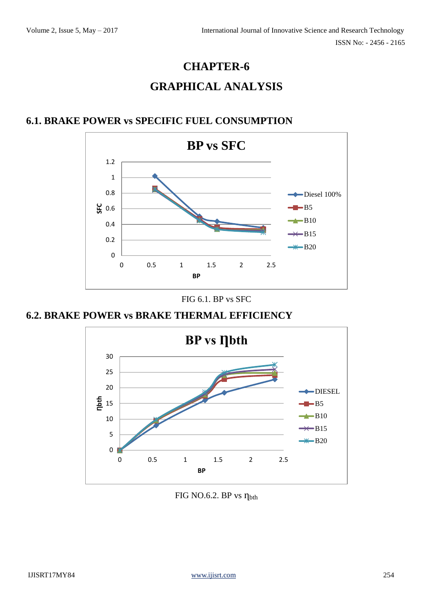# **CHAPTER-6 GRAPHICAL ANALYSIS**

# **6.1. BRAKE POWER vs SPECIFIC FUEL CONSUMPTION**



#### FIG 6.1. BP vs SFC

# **6.2. BRAKE POWER vs BRAKE THERMAL EFFICIENCY**



### FIG NO.6.2. BP vs ղbth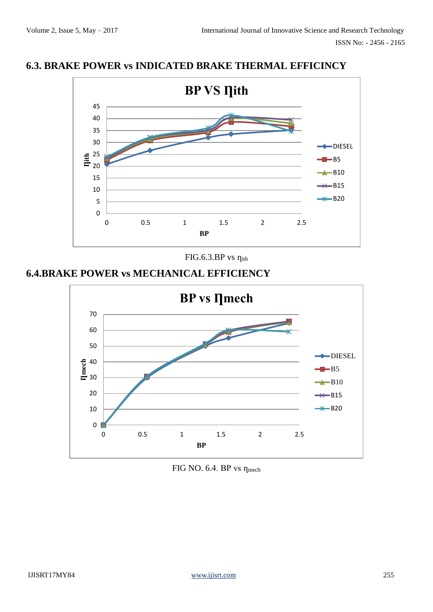### **6.3. BRAKE POWER vs INDICATED BRAKE THERMAL EFFICINCY**



FIG.6.3.BP vs ղith

# **6.4.BRAKE POWER vs MECHANICAL EFFICIENCY**



FIG NO. 6.4. BP vs η<sub>mech</sub>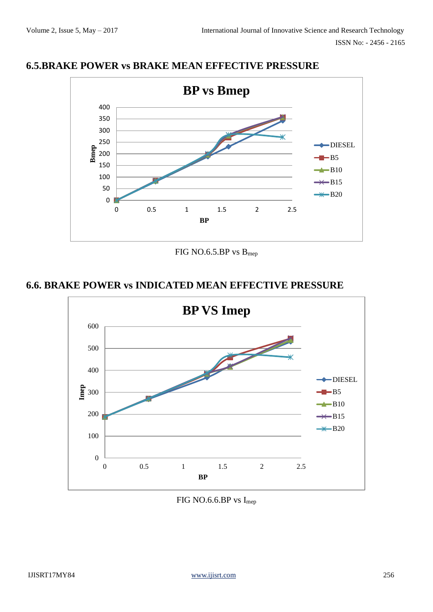ISSN No: - 2456 - 2165

### **6.5.BRAKE POWER vs BRAKE MEAN EFFECTIVE PRESSURE**



FIG NO.6.5.BP vs Bmep

# **6.6. BRAKE POWER vs INDICATED MEAN EFFECTIVE PRESSURE**



FIG NO.6.6.BP vs I<sub>mep</sub>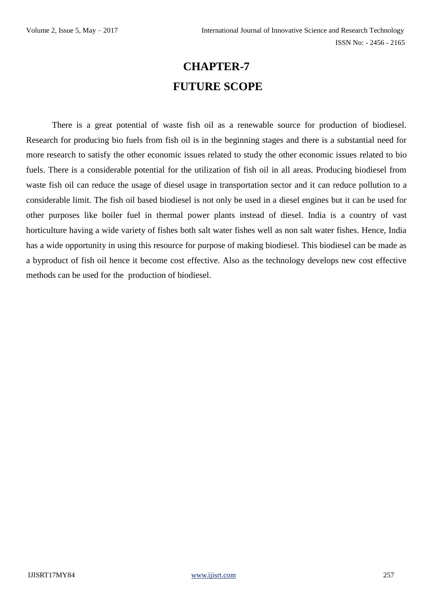# **CHAPTER-7 FUTURE SCOPE**

There is a great potential of waste fish oil as a renewable source for production of biodiesel. Research for producing bio fuels from fish oil is in the beginning stages and there is a substantial need for more research to satisfy the other economic issues related to study the other economic issues related to bio fuels. There is a considerable potential for the utilization of fish oil in all areas. Producing biodiesel from waste fish oil can reduce the usage of diesel usage in transportation sector and it can reduce pollution to a considerable limit. The fish oil based biodiesel is not only be used in a diesel engines but it can be used for other purposes like boiler fuel in thermal power plants instead of diesel. India is a country of vast horticulture having a wide variety of fishes both salt water fishes well as non salt water fishes. Hence, India has a wide opportunity in using this resource for purpose of making biodiesel. This biodiesel can be made as a byproduct of fish oil hence it become cost effective. Also as the technology develops new cost effective methods can be used for the production of biodiesel.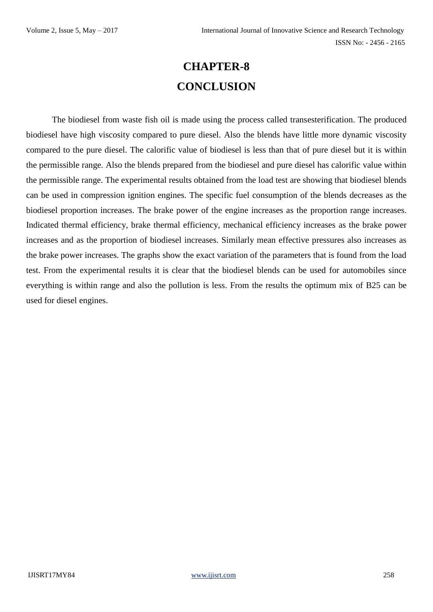# **CHAPTER-8 CONCLUSION**

The biodiesel from waste fish oil is made using the process called transesterification. The produced biodiesel have high viscosity compared to pure diesel. Also the blends have little more dynamic viscosity compared to the pure diesel. The calorific value of biodiesel is less than that of pure diesel but it is within the permissible range. Also the blends prepared from the biodiesel and pure diesel has calorific value within the permissible range. The experimental results obtained from the load test are showing that biodiesel blends can be used in compression ignition engines. The specific fuel consumption of the blends decreases as the biodiesel proportion increases. The brake power of the engine increases as the proportion range increases. Indicated thermal efficiency, brake thermal efficiency, mechanical efficiency increases as the brake power increases and as the proportion of biodiesel increases. Similarly mean effective pressures also increases as the brake power increases. The graphs show the exact variation of the parameters that is found from the load test. From the experimental results it is clear that the biodiesel blends can be used for automobiles since everything is within range and also the pollution is less. From the results the optimum mix of B25 can be used for diesel engines.